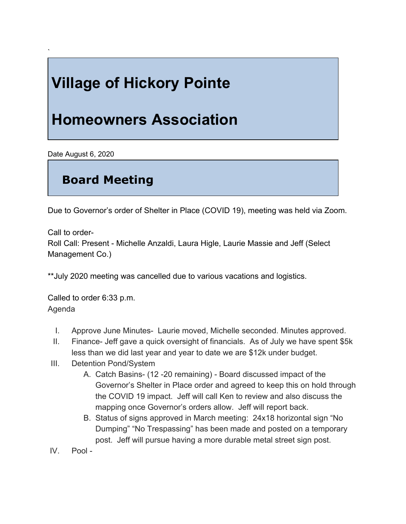## **Village of Hickory Pointe**

## **Homeowners Association**

Date August 6, 2020

`

## **Board Meeting**

Due to Governor's order of Shelter in Place (COVID 19), meeting was held via Zoom.

Call to order-

Roll Call: Present - Michelle Anzaldi, Laura Higle, Laurie Massie and Jeff (Select Management Co.)

\*\*July 2020 meeting was cancelled due to various vacations and logistics.

Called to order 6:33 p.m. Agenda

- I. Approve June Minutes- Laurie moved, Michelle seconded. Minutes approved.
- II. Finance- Jeff gave a quick oversight of financials. As of July we have spent \$5k less than we did last year and year to date we are \$12k under budget.
- III. Detention Pond/System
	- A. Catch Basins- (12 -20 remaining) Board discussed impact of the Governor's Shelter in Place order and agreed to keep this on hold through the COVID 19 impact. Jeff will call Ken to review and also discuss the mapping once Governor's orders allow. Jeff will report back.
	- B. Status of signs approved in March meeting: 24x18 horizontal sign "No Dumping" "No Trespassing" has been made and posted on a temporary post. Jeff will pursue having a more durable metal street sign post.
- IV. Pool -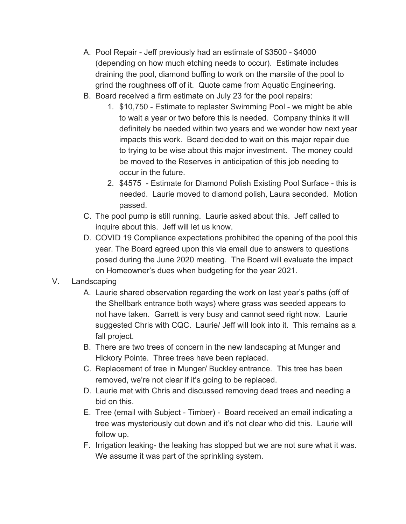- A. Pool Repair Jeff previously had an estimate of \$3500 \$4000 (depending on how much etching needs to occur). Estimate includes draining the pool, diamond buffing to work on the marsite of the pool to grind the roughness off of it. Quote came from Aquatic Engineering.
- B. Board received a firm estimate on July 23 for the pool repairs:
	- 1. \$10,750 Estimate to replaster Swimming Pool we might be able to wait a year or two before this is needed. Company thinks it will definitely be needed within two years and we wonder how next year impacts this work. Board decided to wait on this major repair due to trying to be wise about this major investment. The money could be moved to the Reserves in anticipation of this job needing to occur in the future.
	- 2. \$4575 Estimate for Diamond Polish Existing Pool Surface this is needed. Laurie moved to diamond polish, Laura seconded. Motion passed.
- C. The pool pump is still running. Laurie asked about this. Jeff called to inquire about this. Jeff will let us know.
- D. COVID 19 Compliance expectations prohibited the opening of the pool this year. The Board agreed upon this via email due to answers to questions posed during the June 2020 meeting. The Board will evaluate the impact on Homeowner's dues when budgeting for the year 2021.
- V. Landscaping
	- A. Laurie shared observation regarding the work on last year's paths (off of the Shellbark entrance both ways) where grass was seeded appears to not have taken. Garrett is very busy and cannot seed right now. Laurie suggested Chris with CQC. Laurie/ Jeff will look into it. This remains as a fall project.
	- B. There are two trees of concern in the new landscaping at Munger and Hickory Pointe. Three trees have been replaced.
	- C. Replacement of tree in Munger/ Buckley entrance. This tree has been removed, we're not clear if it's going to be replaced.
	- D. Laurie met with Chris and discussed removing dead trees and needing a bid on this.
	- E. Tree (email with Subject Timber) Board received an email indicating a tree was mysteriously cut down and it's not clear who did this. Laurie will follow up.
	- F. Irrigation leaking- the leaking has stopped but we are not sure what it was. We assume it was part of the sprinkling system.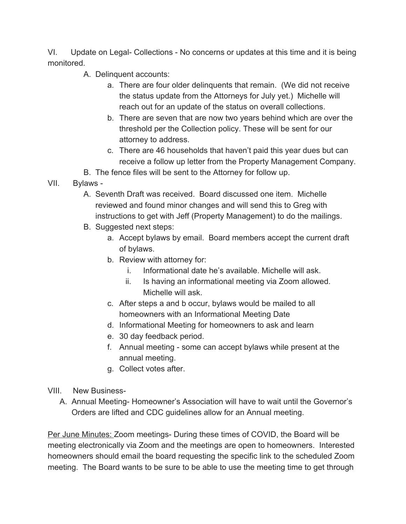VI. Update on Legal- Collections - No concerns or updates at this time and it is being monitored.

- A. Delinquent accounts:
	- a. There are four older delinquents that remain. (We did not receive the status update from the Attorneys for July yet.) Michelle will reach out for an update of the status on overall collections.
	- b. There are seven that are now two years behind which are over the threshold per the Collection policy. These will be sent for our attorney to address.
	- c. There are 46 households that haven't paid this year dues but can receive a follow up letter from the Property Management Company.
- B. The fence files will be sent to the Attorney for follow up.
- VII. Bylaws
	- A. Seventh Draft was received. Board discussed one item. Michelle reviewed and found minor changes and will send this to Greg with instructions to get with Jeff (Property Management) to do the mailings.
	- B. Suggested next steps:
		- a. Accept bylaws by email. Board members accept the current draft of bylaws.
		- b. Review with attorney for:
			- i. Informational date he's available. Michelle will ask.
			- ii. Is having an informational meeting via Zoom allowed. Michelle will ask.
		- c. After steps a and b occur, bylaws would be mailed to all homeowners with an Informational Meeting Date
		- d. Informational Meeting for homeowners to ask and learn
		- e. 30 day feedback period.
		- f. Annual meeting some can accept bylaws while present at the annual meeting.
		- g. Collect votes after.
- VIII. New Business-
	- A. Annual Meeting- Homeowner's Association will have to wait until the Governor's Orders are lifted and CDC guidelines allow for an Annual meeting.

Per June Minutes: Zoom meetings- During these times of COVID, the Board will be meeting electronically via Zoom and the meetings are open to homeowners. Interested homeowners should email the board requesting the specific link to the scheduled Zoom meeting. The Board wants to be sure to be able to use the meeting time to get through